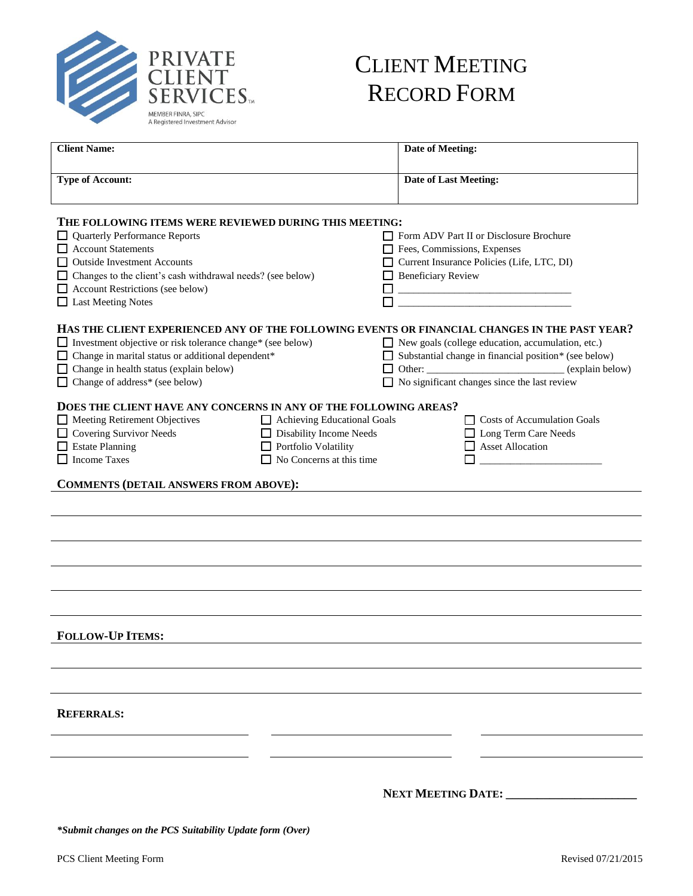

# CLIENT MEETING RECORD FORM

| <b>Client Name:</b>                                                                                                                                                                                                                                                                                 |                                                                                                            | <b>Date of Meeting:</b>                                                                                                                                                                                                                                                   |  |
|-----------------------------------------------------------------------------------------------------------------------------------------------------------------------------------------------------------------------------------------------------------------------------------------------------|------------------------------------------------------------------------------------------------------------|---------------------------------------------------------------------------------------------------------------------------------------------------------------------------------------------------------------------------------------------------------------------------|--|
| <b>Type of Account:</b>                                                                                                                                                                                                                                                                             |                                                                                                            | <b>Date of Last Meeting:</b>                                                                                                                                                                                                                                              |  |
| THE FOLLOWING ITEMS WERE REVIEWED DURING THIS MEETING:<br><b>Quarterly Performance Reports</b><br><b>Account Statements</b><br><b>Outside Investment Accounts</b><br>Changes to the client's cash withdrawal needs? (see below)<br>Account Restrictions (see below)<br>Last Meeting Notes           |                                                                                                            | Form ADV Part II or Disclosure Brochure<br>Fees, Commissions, Expenses<br>Current Insurance Policies (Life, LTC, DI)<br><b>Beneficiary Review</b><br><u> 2000 - 2000 - 2000 - 2000 - 2000 - 2000 - 2000 - 2000 - 2000 - 2000 - 2000 - 2000 - 2000 - 2000 - 2000 - 200</u> |  |
| HAS THE CLIENT EXPERIENCED ANY OF THE FOLLOWING EVENTS OR FINANCIAL CHANGES IN THE PAST YEAR?<br>□ Investment objective or risk tolerance change* (see below)<br>□ Change in marital status or additional dependent*<br>Change in health status (explain below)<br>□ Change of address* (see below) |                                                                                                            | New goals (college education, accumulation, etc.)<br>Substantial change in financial position* (see below)<br>Other: _________________________________(explain below)<br>$\Box$ No significant changes since the last review                                              |  |
| DOES THE CLIENT HAVE ANY CONCERNS IN ANY OF THE FOLLOWING AREAS?<br>Meeting Retirement Objectives<br>□ Covering Survivor Needs<br><b>Estate Planning</b><br><b>Income Taxes</b><br><b>COMMENTS (DETAIL ANSWERS FROM ABOVE):</b>                                                                     | Achieving Educational Goals<br>Disability Income Needs<br>Portfolio Volatility<br>No Concerns at this time | $\Box$ Costs of Accumulation Goals<br>□ Long Term Care Needs<br>Asset Allocation                                                                                                                                                                                          |  |
|                                                                                                                                                                                                                                                                                                     |                                                                                                            |                                                                                                                                                                                                                                                                           |  |
|                                                                                                                                                                                                                                                                                                     |                                                                                                            |                                                                                                                                                                                                                                                                           |  |
|                                                                                                                                                                                                                                                                                                     |                                                                                                            |                                                                                                                                                                                                                                                                           |  |
|                                                                                                                                                                                                                                                                                                     |                                                                                                            |                                                                                                                                                                                                                                                                           |  |
| <b>FOLLOW-UP ITEMS:</b>                                                                                                                                                                                                                                                                             |                                                                                                            |                                                                                                                                                                                                                                                                           |  |
|                                                                                                                                                                                                                                                                                                     |                                                                                                            |                                                                                                                                                                                                                                                                           |  |
| <b>REFERRALS:</b>                                                                                                                                                                                                                                                                                   |                                                                                                            |                                                                                                                                                                                                                                                                           |  |
|                                                                                                                                                                                                                                                                                                     |                                                                                                            |                                                                                                                                                                                                                                                                           |  |
|                                                                                                                                                                                                                                                                                                     |                                                                                                            | <b>NEXT MEETING DATE:</b>                                                                                                                                                                                                                                                 |  |